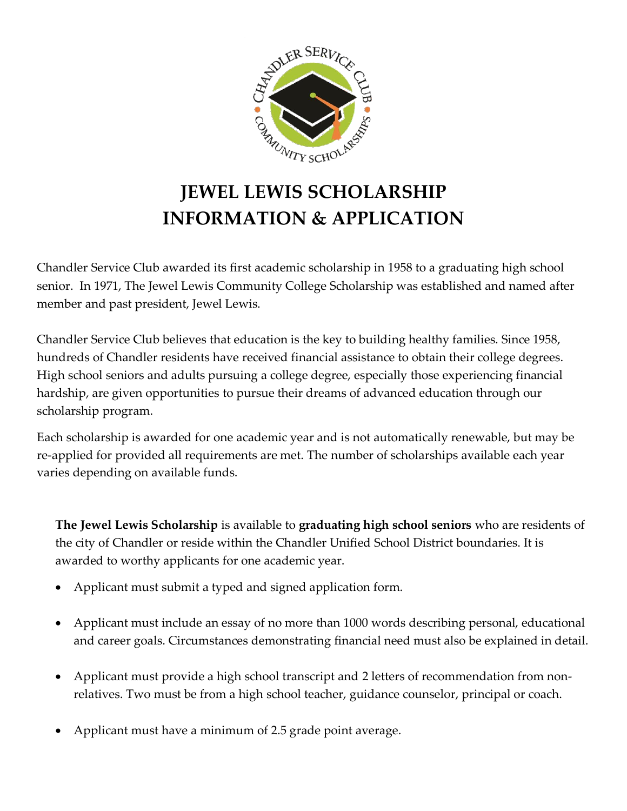

# **JEWEL LEWIS SCHOLARSHIP INFORMATION & APPLICATION**

Chandler Service Club awarded its first academic scholarship in 1958 to a graduating high school senior. In 1971, The Jewel Lewis Community College Scholarship was established and named after member and past president, Jewel Lewis.

Chandler Service Club believes that education is the key to building healthy families. Since 1958, hundreds of Chandler residents have received financial assistance to obtain their college degrees. High school seniors and adults pursuing a college degree, especially those experiencing financial hardship, are given opportunities to pursue their dreams of advanced education through our scholarship program.

Each scholarship is awarded for one academic year and is not automatically renewable, but may be re-applied for provided all requirements are met. The number of scholarships available each year varies depending on available funds.

**The Jewel Lewis Scholarship** is available to **graduating high school seniors** who are residents of the city of Chandler or reside within the Chandler Unified School District boundaries. It is awarded to worthy applicants for one academic year.

- Applicant must submit a typed and signed application form.
- Applicant must include an essay of no more than 1000 words describing personal, educational and career goals. Circumstances demonstrating financial need must also be explained in detail.
- Applicant must provide a high school transcript and 2 letters of recommendation from nonrelatives. Two must be from a high school teacher, guidance counselor, principal or coach.
- Applicant must have a minimum of 2.5 grade point average.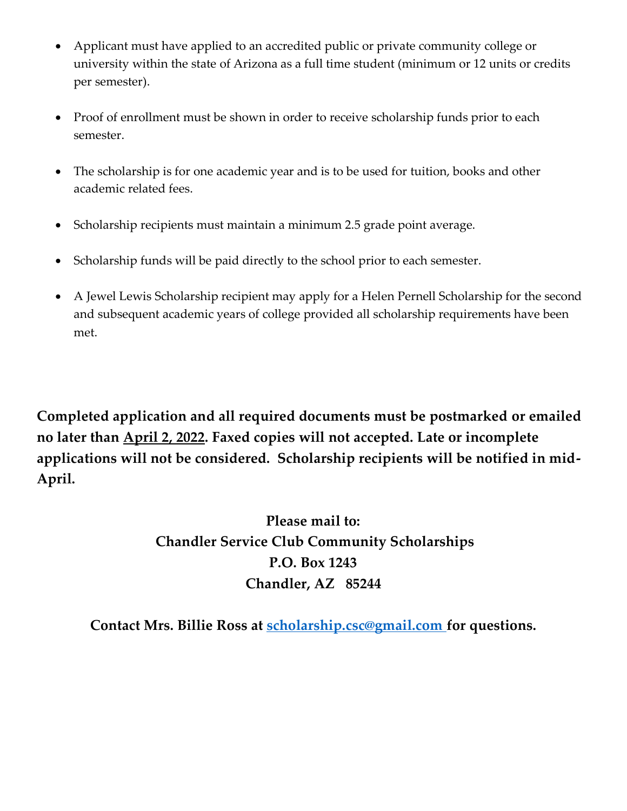- Applicant must have applied to an accredited public or private community college or university within the state of Arizona as a full time student (minimum or 12 units or credits per semester).
- Proof of enrollment must be shown in order to receive scholarship funds prior to each semester.
- The scholarship is for one academic year and is to be used for tuition, books and other academic related fees.
- Scholarship recipients must maintain a minimum 2.5 grade point average.
- Scholarship funds will be paid directly to the school prior to each semester.
- A Jewel Lewis Scholarship recipient may apply for a Helen Pernell Scholarship for the second and subsequent academic years of college provided all scholarship requirements have been met.

**Completed application and all required documents must be postmarked or emailed no later than April 2, 2022. Faxed copies will not accepted. Late or incomplete applications will not be considered. Scholarship recipients will be notified in mid-April.**

> **Please mail to: Chandler Service Club Community Scholarships P.O. Box 1243 Chandler, AZ 85244**

**Contact Mrs. Billie Ross at [scholarship.csc@gmail.com](mailto:scholarship.csc@gmail.com) for questions.**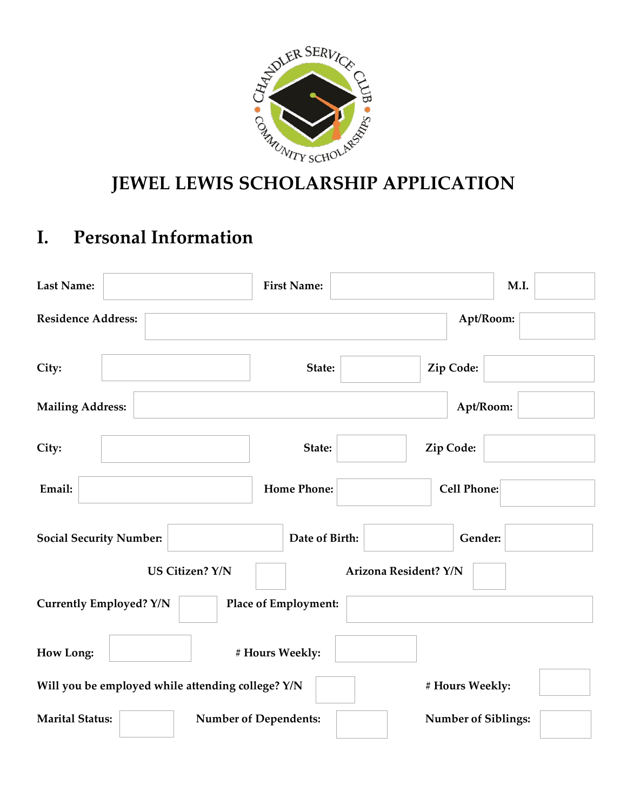

# **JEWEL LEWIS SCHOLARSHIP APPLICATION**

## **I. Personal Information**

| <b>Last Name:</b>              |                                                   | <b>First Name:</b>           |                            | M.I. |
|--------------------------------|---------------------------------------------------|------------------------------|----------------------------|------|
| <b>Residence Address:</b>      |                                                   |                              | Apt/Room:                  |      |
| City:                          |                                                   | State:                       | Zip Code:                  |      |
| <b>Mailing Address:</b>        |                                                   |                              | Apt/Room:                  |      |
| City:                          |                                                   | State:                       | Zip Code:                  |      |
| Email:                         |                                                   | <b>Home Phone:</b>           | <b>Cell Phone:</b>         |      |
| <b>Social Security Number:</b> |                                                   | Date of Birth:               | Gender:                    |      |
|                                | <b>US Citizen? Y/N</b>                            |                              | Arizona Resident? Y/N      |      |
| <b>Currently Employed? Y/N</b> |                                                   | <b>Place of Employment:</b>  |                            |      |
| <b>How Long:</b>               |                                                   | # Hours Weekly:              |                            |      |
|                                | Will you be employed while attending college? Y/N |                              | # Hours Weekly:            |      |
| <b>Marital Status:</b>         |                                                   | <b>Number of Dependents:</b> | <b>Number of Siblings:</b> |      |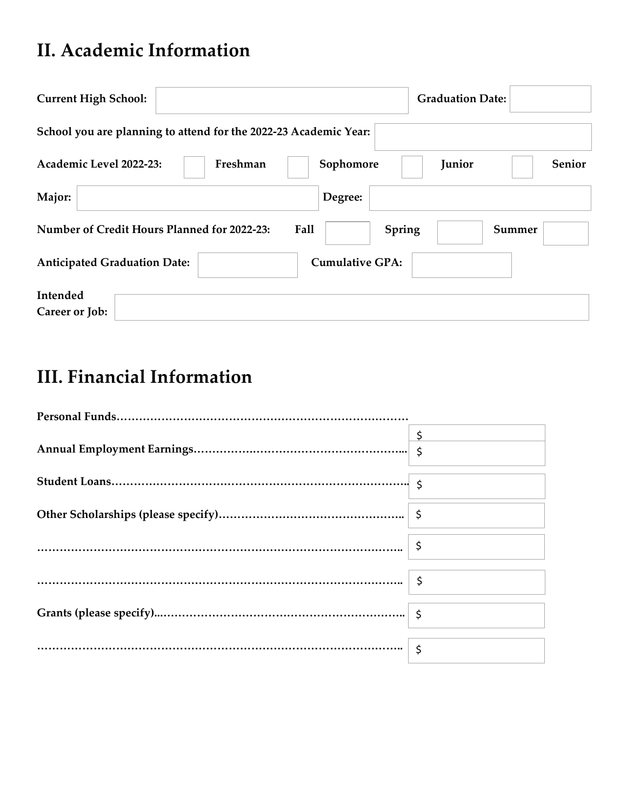# **II. Academic Information**

| <b>Current High School:</b>                                      | <b>Graduation Date:</b>       |
|------------------------------------------------------------------|-------------------------------|
| School you are planning to attend for the 2022-23 Academic Year: |                               |
| Academic Level 2022-23:<br>Freshman                              | Senior<br>Sophomore<br>Junior |
| Major:                                                           | Degree:                       |
| Number of Credit Hours Planned for 2022-23:<br>Fall              | Spring<br>Summer              |
| <b>Anticipated Graduation Date:</b>                              | <b>Cumulative GPA:</b>        |
| Intended                                                         |                               |
| Career or Job:                                                   |                               |

# **III. Financial Information**

| \$ |
|----|
|    |
|    |
|    |
|    |
|    |
|    |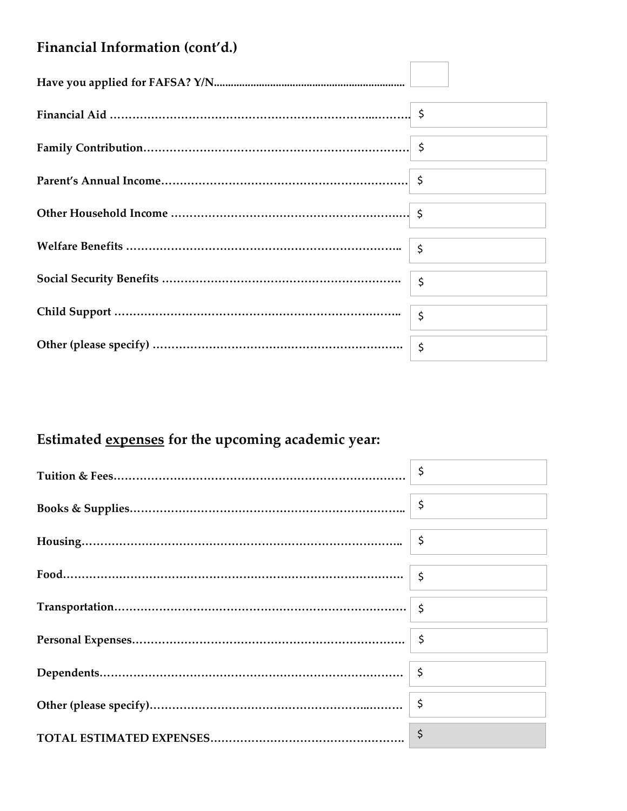### **Financial Information (cont'd.)**

h

## **Estimated expenses for the upcoming academic year:**

| ∣\$ |
|-----|
|     |
|     |
|     |
|     |
|     |
|     |
|     |
|     |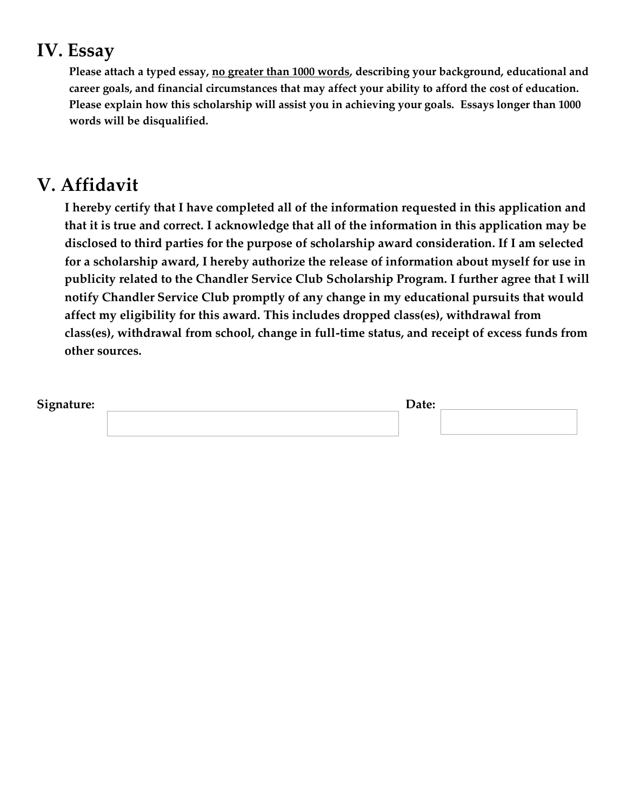## **IV. Essay**

**Please attach a typed essay, no greater than 1000 words, describing your background, educational and career goals, and financial circumstances that may affect your ability to afford the cost of education. Please explain how this scholarship will assist you in achieving your goals. Essays longer than 1000 words will be disqualified.**

## **V. Affidavit**

 **I hereby certify that I have completed all of the information requested in this application and that it is true and correct. I acknowledge that all of the information in this application may be disclosed to third parties for the purpose of scholarship award consideration. If I am selected for a scholarship award, I hereby authorize the release of information about myself for use in publicity related to the Chandler Service Club Scholarship Program. I further agree that I will notify Chandler Service Club promptly of any change in my educational pursuits that would affect my eligibility for this award. This includes dropped class(es), withdrawal from class(es), withdrawal from school, change in full-time status, and receipt of excess funds from other sources.**

| Date: |  |
|-------|--|
|       |  |
|       |  |
|       |  |